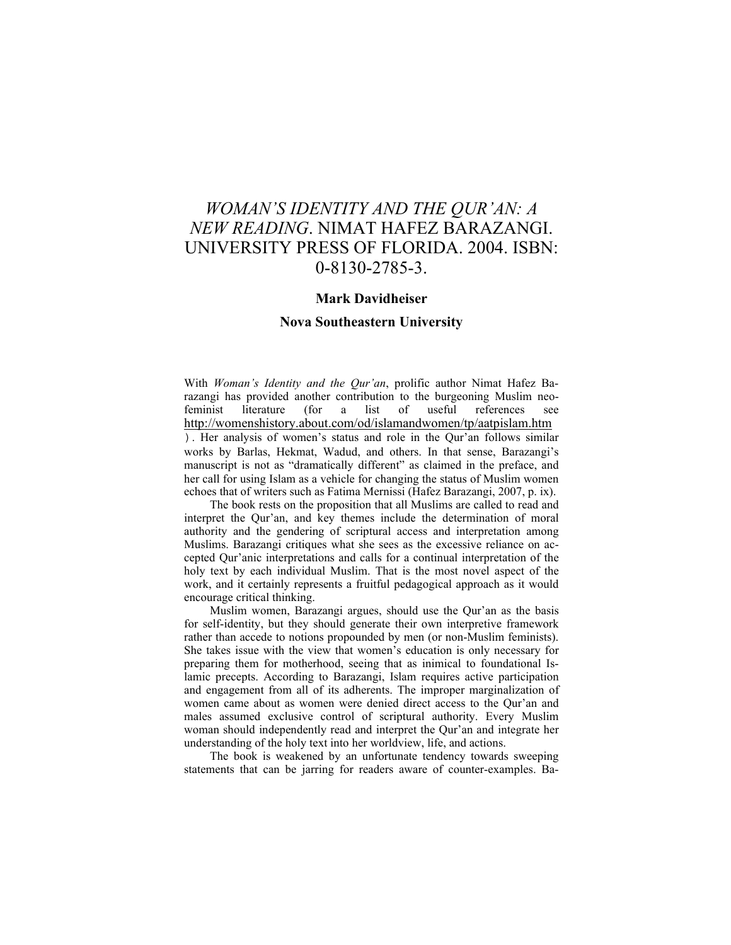## *WOMAN'S IDENTITY AND THE QUR'AN: A NEW READING*. NIMAT HAFEZ BARAZANGI. UNIVERSITY PRESS OF FLORIDA. 2004. ISBN: 0-8130-2785-3.

## **Mark Davidheiser**

## **Nova Southeastern University**

With *Woman's Identity and the Qur'an*, prolific author Nimat Hafez Barazangi has provided another contribution to the burgeoning Muslim neofeminist literature (for a list of useful references see http://womenshistory.about.com/od/islamandwomen/tp/aatpislam.htm ). Her analysis of women's status and role in the Qur'an follows similar works by Barlas, Hekmat, Wadud, and others. In that sense, Barazangi's manuscript is not as "dramatically different" as claimed in the preface, and her call for using Islam as a vehicle for changing the status of Muslim women echoes that of writers such as Fatima Mernissi (Hafez Barazangi, 2007, p. ix).

The book rests on the proposition that all Muslims are called to read and interpret the Qur'an, and key themes include the determination of moral authority and the gendering of scriptural access and interpretation among Muslims. Barazangi critiques what she sees as the excessive reliance on accepted Qur'anic interpretations and calls for a continual interpretation of the holy text by each individual Muslim. That is the most novel aspect of the work, and it certainly represents a fruitful pedagogical approach as it would encourage critical thinking.

Muslim women, Barazangi argues, should use the Qur'an as the basis for self-identity, but they should generate their own interpretive framework rather than accede to notions propounded by men (or non-Muslim feminists). She takes issue with the view that women's education is only necessary for preparing them for motherhood, seeing that as inimical to foundational Islamic precepts. According to Barazangi, Islam requires active participation and engagement from all of its adherents. The improper marginalization of women came about as women were denied direct access to the Qur'an and males assumed exclusive control of scriptural authority. Every Muslim woman should independently read and interpret the Qur'an and integrate her understanding of the holy text into her worldview, life, and actions.

The book is weakened by an unfortunate tendency towards sweeping statements that can be jarring for readers aware of counter-examples. Ba-